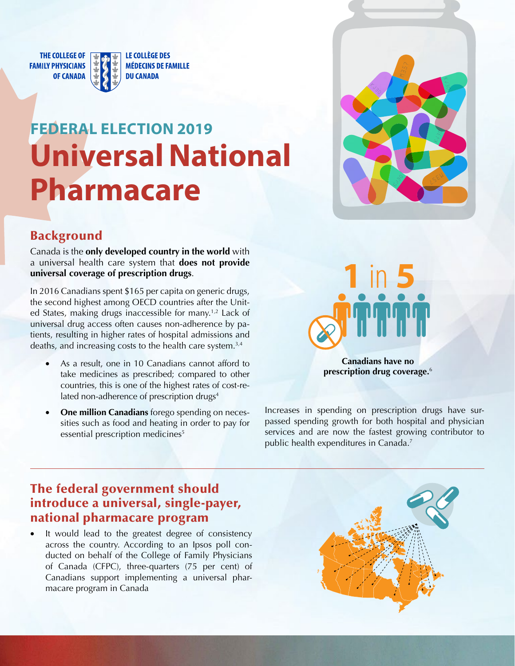**THE COLLEGE OF FAMILY PHYSICIANS OF CANADA** 

LE COLLÈGE DES **MÉDECINS DE FAMILLE DU CANADA** 

# **FEDERAL ELECTION 2019 Universal National Pharmacare**



## Background

Canada is the **only developed country in the world** with a universal health care system that **does not provide universal coverage of prescription drugs**.

In 2016 Canadians spent \$165 per capita on generic drugs, the second highest among OECD countries after the United States, making drugs inaccessible for many.<sup>1,2</sup> Lack of universal drug access often causes non-adherence by patients, resulting in higher rates of hospital admissions and deaths, and increasing costs to the health care system.3,4

- As a result, one in 10 Canadians cannot afford to take medicines as prescribed; compared to other countries, this is one of the highest rates of cost-related non-adherence of prescription drugs<sup>4</sup>
- **One million Canadians** forego spending on necessities such as food and heating in order to pay for essential prescription medicines<sup>5</sup>



**prescription drug coverage.**<sup>6</sup>

Increases in spending on prescription drugs have surpassed spending growth for both hospital and physician services and are now the fastest growing contributor to public health expenditures in Canada.<sup>7</sup>

### The federal government should introduce a universal, single-payer, national pharmacare program

It would lead to the greatest degree of consistency across the country. According to an Ipsos poll conducted on behalf of the College of Family Physicians of Canada (CFPC), three-quarters (75 per cent) of Canadians support implementing a universal pharmacare program in Canada